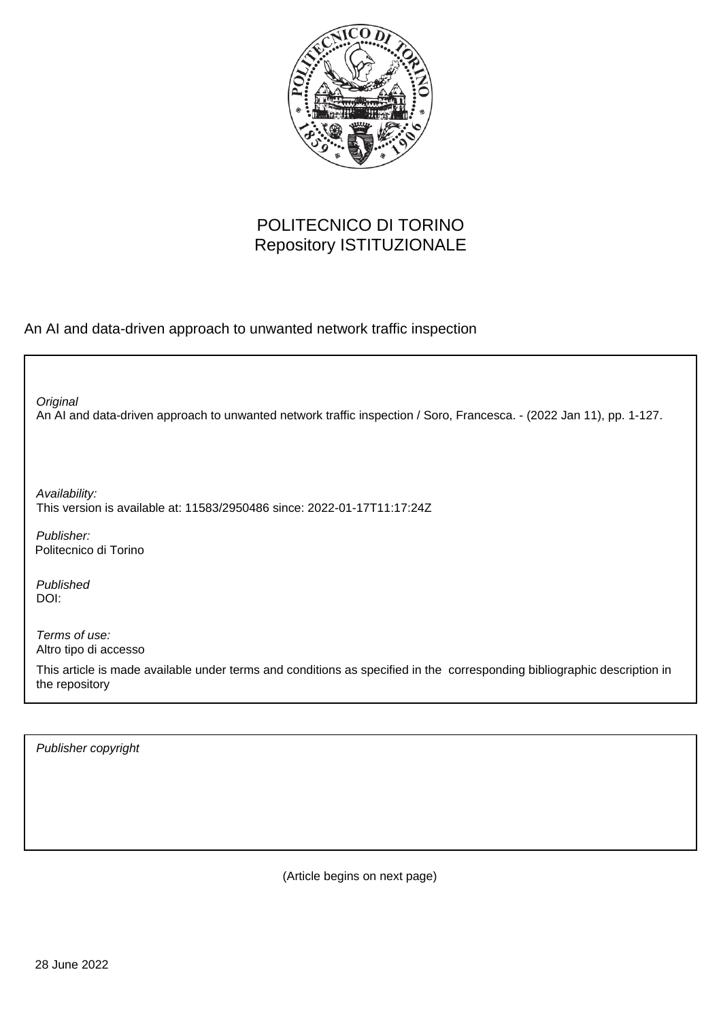

## POLITECNICO DI TORINO Repository ISTITUZIONALE

An AI and data-driven approach to unwanted network traffic inspection

An AI and data-driven approach to unwanted network traffic inspection / Soro, Francesca. - (2022 Jan 11), pp. 1-127. **Original** 

Availability: This version is available at: 11583/2950486 since: 2022-01-17T11:17:24Z

Publisher: Politecnico di Torino

Published DOI:

Terms of use: Altro tipo di accesso

This article is made available under terms and conditions as specified in the corresponding bibliographic description in the repository

Publisher copyright

(Article begins on next page)